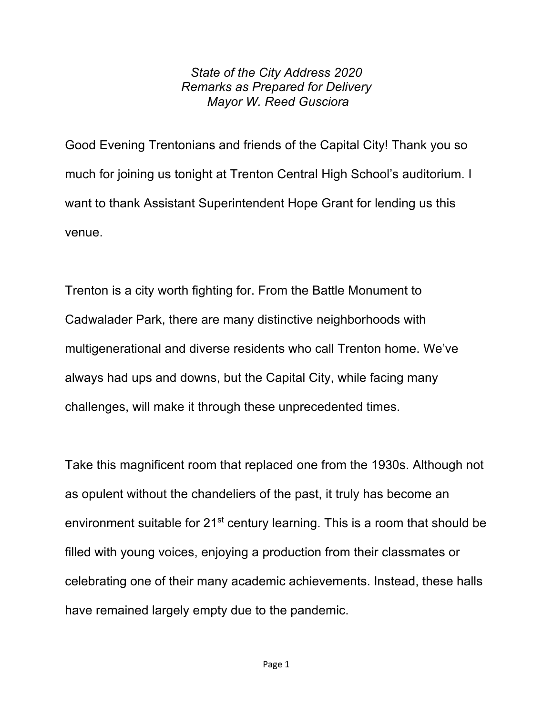## *State of the City Address 2020 Remarks as Prepared for Delivery Mayor W. Reed Gusciora*

Good Evening Trentonians and friends of the Capital City! Thank you so much for joining us tonight at Trenton Central High School's auditorium. I want to thank Assistant Superintendent Hope Grant for lending us this venue.

Trenton is a city worth fighting for. From the Battle Monument to Cadwalader Park, there are many distinctive neighborhoods with multigenerational and diverse residents who call Trenton home. We've always had ups and downs, but the Capital City, while facing many challenges, will make it through these unprecedented times.

Take this magnificent room that replaced one from the 1930s. Although not as opulent without the chandeliers of the past, it truly has become an environment suitable for  $21<sup>st</sup>$  century learning. This is a room that should be filled with young voices, enjoying a production from their classmates or celebrating one of their many academic achievements. Instead, these halls have remained largely empty due to the pandemic.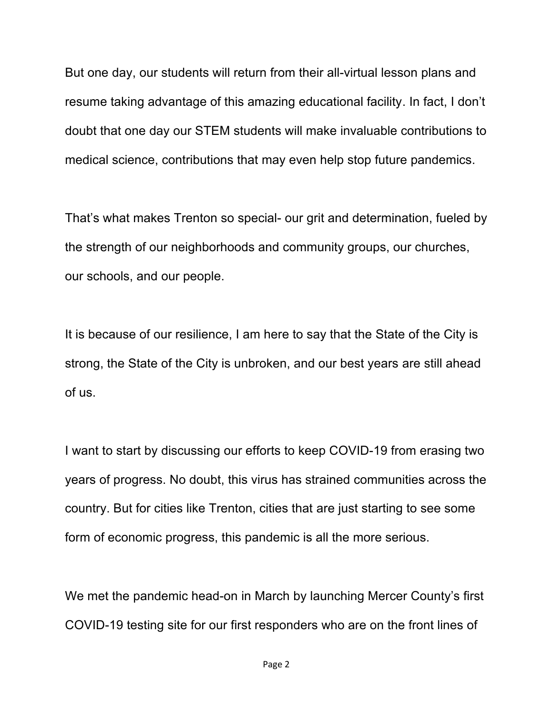But one day, our students will return from their all-virtual lesson plans and resume taking advantage of this amazing educational facility. In fact, I don't doubt that one day our STEM students will make invaluable contributions to medical science, contributions that may even help stop future pandemics.

That's what makes Trenton so special- our grit and determination, fueled by the strength of our neighborhoods and community groups, our churches, our schools, and our people.

It is because of our resilience, I am here to say that the State of the City is strong, the State of the City is unbroken, and our best years are still ahead of us.

I want to start by discussing our efforts to keep COVID-19 from erasing two years of progress. No doubt, this virus has strained communities across the country. But for cities like Trenton, cities that are just starting to see some form of economic progress, this pandemic is all the more serious.

We met the pandemic head-on in March by launching Mercer County's first COVID-19 testing site for our first responders who are on the front lines of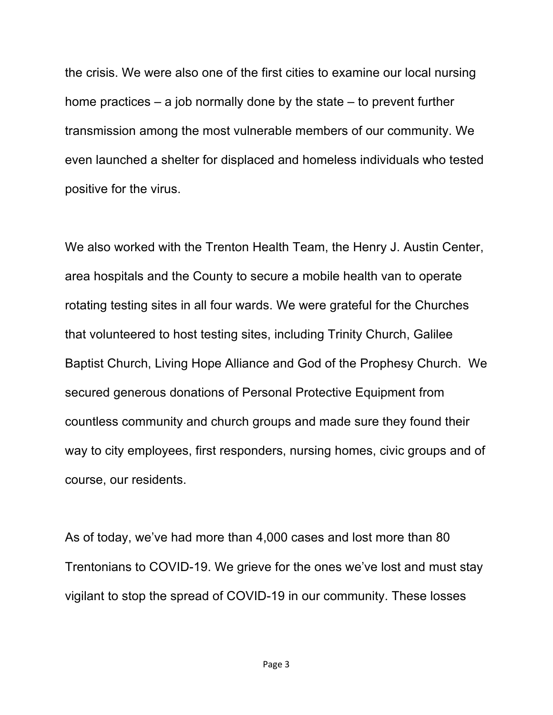the crisis. We were also one of the first cities to examine our local nursing home practices – a job normally done by the state – to prevent further transmission among the most vulnerable members of our community. We even launched a shelter for displaced and homeless individuals who tested positive for the virus.

We also worked with the Trenton Health Team, the Henry J. Austin Center, area hospitals and the County to secure a mobile health van to operate rotating testing sites in all four wards. We were grateful for the Churches that volunteered to host testing sites, including Trinity Church, Galilee Baptist Church, Living Hope Alliance and God of the Prophesy Church. We secured generous donations of Personal Protective Equipment from countless community and church groups and made sure they found their way to city employees, first responders, nursing homes, civic groups and of course, our residents.

As of today, we've had more than 4,000 cases and lost more than 80 Trentonians to COVID-19. We grieve for the ones we've lost and must stay vigilant to stop the spread of COVID-19 in our community. These losses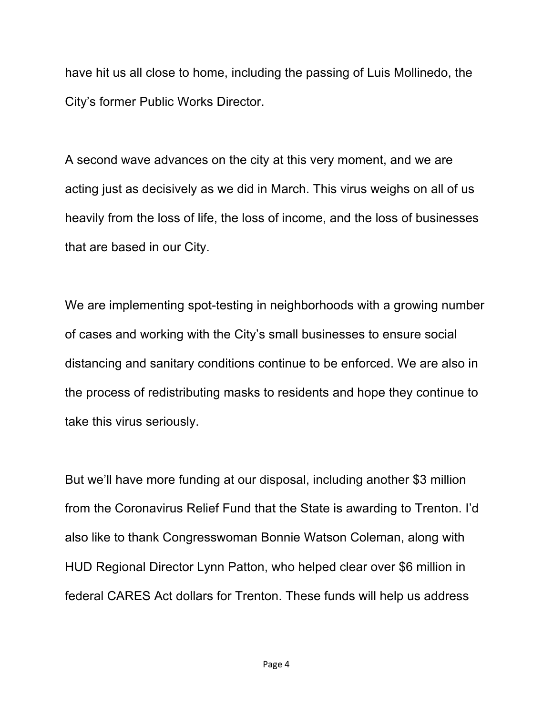have hit us all close to home, including the passing of Luis Mollinedo, the City's former Public Works Director.

A second wave advances on the city at this very moment, and we are acting just as decisively as we did in March. This virus weighs on all of us heavily from the loss of life, the loss of income, and the loss of businesses that are based in our City.

We are implementing spot-testing in neighborhoods with a growing number of cases and working with the City's small businesses to ensure social distancing and sanitary conditions continue to be enforced. We are also in the process of redistributing masks to residents and hope they continue to take this virus seriously.

But we'll have more funding at our disposal, including another \$3 million from the Coronavirus Relief Fund that the State is awarding to Trenton. I'd also like to thank Congresswoman Bonnie Watson Coleman, along with HUD Regional Director Lynn Patton, who helped clear over \$6 million in federal CARES Act dollars for Trenton. These funds will help us address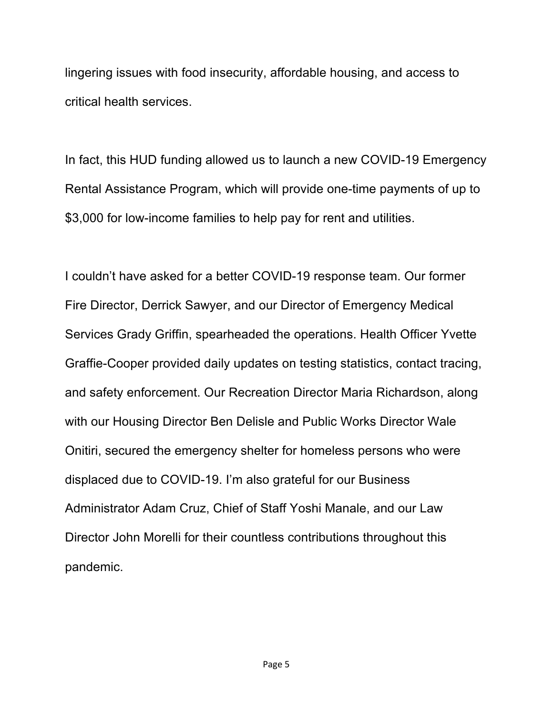lingering issues with food insecurity, affordable housing, and access to critical health services.

In fact, this HUD funding allowed us to launch a new COVID-19 Emergency Rental Assistance Program, which will provide one-time payments of up to \$3,000 for low-income families to help pay for rent and utilities.

I couldn't have asked for a better COVID-19 response team. Our former Fire Director, Derrick Sawyer, and our Director of Emergency Medical Services Grady Griffin, spearheaded the operations. Health Officer Yvette Graffie-Cooper provided daily updates on testing statistics, contact tracing, and safety enforcement. Our Recreation Director Maria Richardson, along with our Housing Director Ben Delisle and Public Works Director Wale Onitiri, secured the emergency shelter for homeless persons who were displaced due to COVID-19. I'm also grateful for our Business Administrator Adam Cruz, Chief of Staff Yoshi Manale, and our Law Director John Morelli for their countless contributions throughout this pandemic.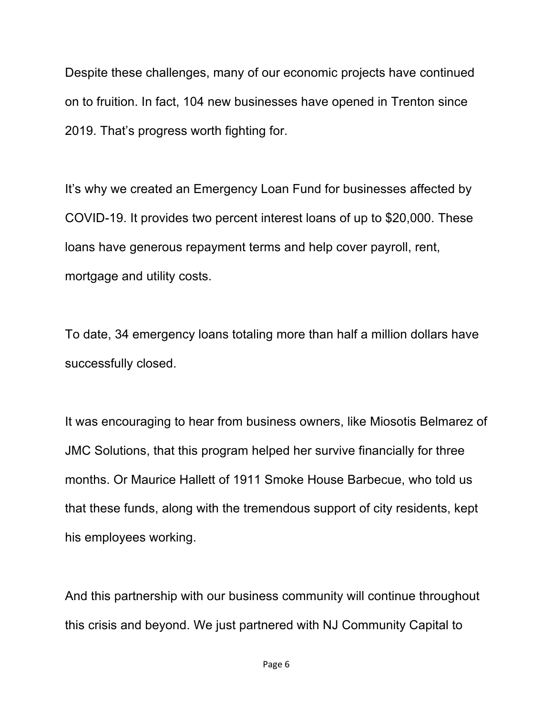Despite these challenges, many of our economic projects have continued on to fruition. In fact, 104 new businesses have opened in Trenton since 2019. That's progress worth fighting for.

It's why we created an Emergency Loan Fund for businesses affected by COVID-19. It provides two percent interest loans of up to \$20,000. These loans have generous repayment terms and help cover payroll, rent, mortgage and utility costs.

To date, 34 emergency loans totaling more than half a million dollars have successfully closed.

It was encouraging to hear from business owners, like Miosotis Belmarez of JMC Solutions, that this program helped her survive financially for three months. Or Maurice Hallett of 1911 Smoke House Barbecue, who told us that these funds, along with the tremendous support of city residents, kept his employees working.

And this partnership with our business community will continue throughout this crisis and beyond. We just partnered with NJ Community Capital to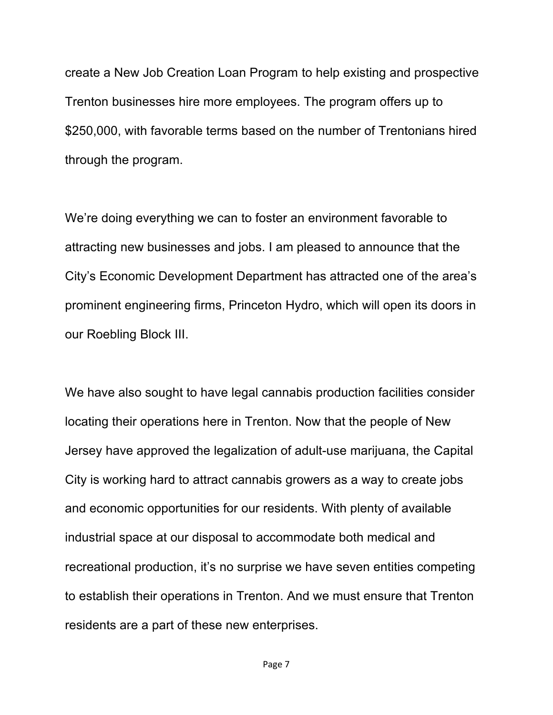create a New Job Creation Loan Program to help existing and prospective Trenton businesses hire more employees. The program offers up to \$250,000, with favorable terms based on the number of Trentonians hired through the program.

We're doing everything we can to foster an environment favorable to attracting new businesses and jobs. I am pleased to announce that the City's Economic Development Department has attracted one of the area's prominent engineering firms, Princeton Hydro, which will open its doors in our Roebling Block III.

We have also sought to have legal cannabis production facilities consider locating their operations here in Trenton. Now that the people of New Jersey have approved the legalization of adult-use marijuana, the Capital City is working hard to attract cannabis growers as a way to create jobs and economic opportunities for our residents. With plenty of available industrial space at our disposal to accommodate both medical and recreational production, it's no surprise we have seven entities competing to establish their operations in Trenton. And we must ensure that Trenton residents are a part of these new enterprises.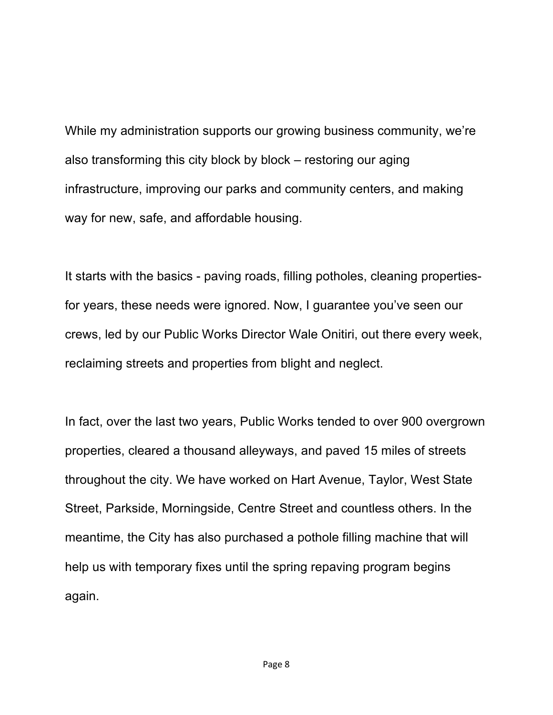While my administration supports our growing business community, we're also transforming this city block by block – restoring our aging infrastructure, improving our parks and community centers, and making way for new, safe, and affordable housing.

It starts with the basics - paving roads, filling potholes, cleaning propertiesfor years, these needs were ignored. Now, I guarantee you've seen our crews, led by our Public Works Director Wale Onitiri, out there every week, reclaiming streets and properties from blight and neglect.

In fact, over the last two years, Public Works tended to over 900 overgrown properties, cleared a thousand alleyways, and paved 15 miles of streets throughout the city. We have worked on Hart Avenue, Taylor, West State Street, Parkside, Morningside, Centre Street and countless others. In the meantime, the City has also purchased a pothole filling machine that will help us with temporary fixes until the spring repaving program begins again.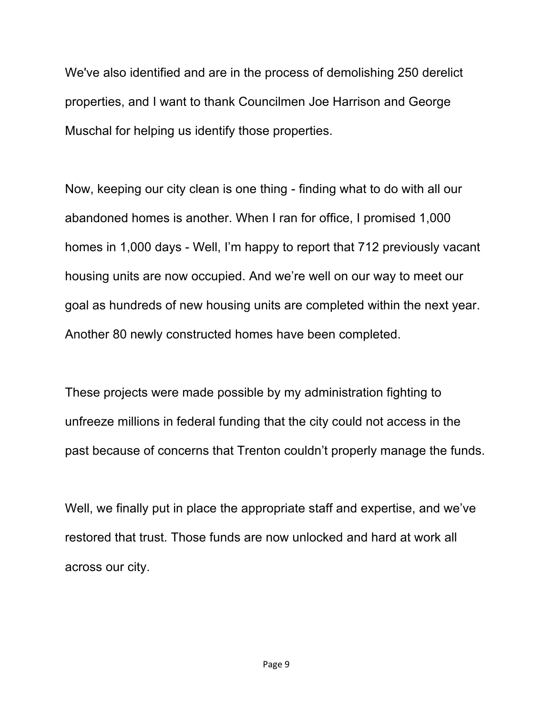We've also identified and are in the process of demolishing 250 derelict properties, and I want to thank Councilmen Joe Harrison and George Muschal for helping us identify those properties.

Now, keeping our city clean is one thing - finding what to do with all our abandoned homes is another. When I ran for office, I promised 1,000 homes in 1,000 days - Well, I'm happy to report that 712 previously vacant housing units are now occupied. And we're well on our way to meet our goal as hundreds of new housing units are completed within the next year. Another 80 newly constructed homes have been completed.

These projects were made possible by my administration fighting to unfreeze millions in federal funding that the city could not access in the past because of concerns that Trenton couldn't properly manage the funds.

Well, we finally put in place the appropriate staff and expertise, and we've restored that trust. Those funds are now unlocked and hard at work all across our city.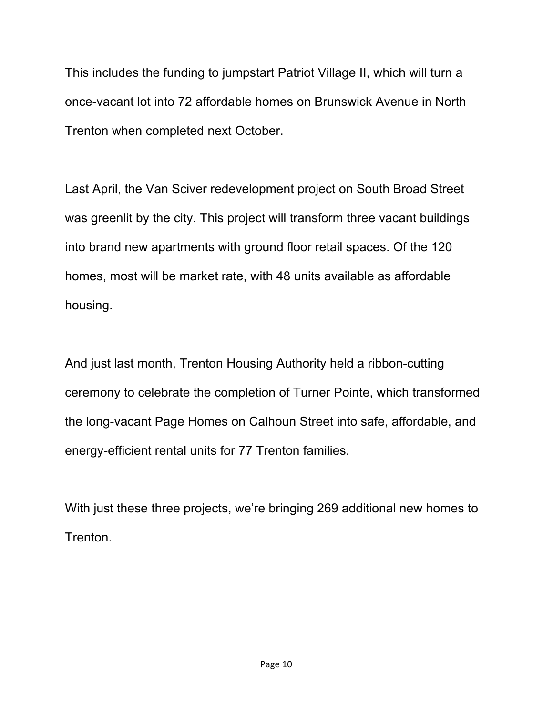This includes the funding to jumpstart Patriot Village II, which will turn a once-vacant lot into 72 affordable homes on Brunswick Avenue in North Trenton when completed next October.

Last April, the Van Sciver redevelopment project on South Broad Street was greenlit by the city. This project will transform three vacant buildings into brand new apartments with ground floor retail spaces. Of the 120 homes, most will be market rate, with 48 units available as affordable housing.

And just last month, Trenton Housing Authority held a ribbon-cutting ceremony to celebrate the completion of Turner Pointe, which transformed the long-vacant Page Homes on Calhoun Street into safe, affordable, and energy-efficient rental units for 77 Trenton families.

With just these three projects, we're bringing 269 additional new homes to Trenton.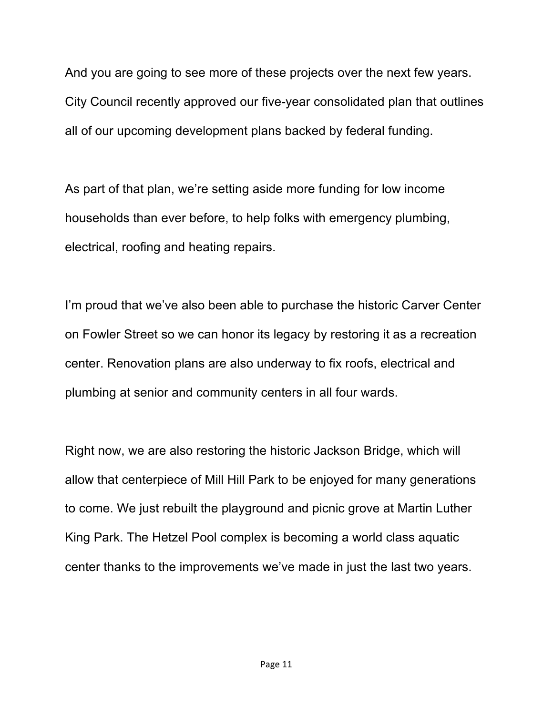And you are going to see more of these projects over the next few years. City Council recently approved our five-year consolidated plan that outlines all of our upcoming development plans backed by federal funding.

As part of that plan, we're setting aside more funding for low income households than ever before, to help folks with emergency plumbing, electrical, roofing and heating repairs.

I'm proud that we've also been able to purchase the historic Carver Center on Fowler Street so we can honor its legacy by restoring it as a recreation center. Renovation plans are also underway to fix roofs, electrical and plumbing at senior and community centers in all four wards.

Right now, we are also restoring the historic Jackson Bridge, which will allow that centerpiece of Mill Hill Park to be enjoyed for many generations to come. We just rebuilt the playground and picnic grove at Martin Luther King Park. The Hetzel Pool complex is becoming a world class aquatic center thanks to the improvements we've made in just the last two years.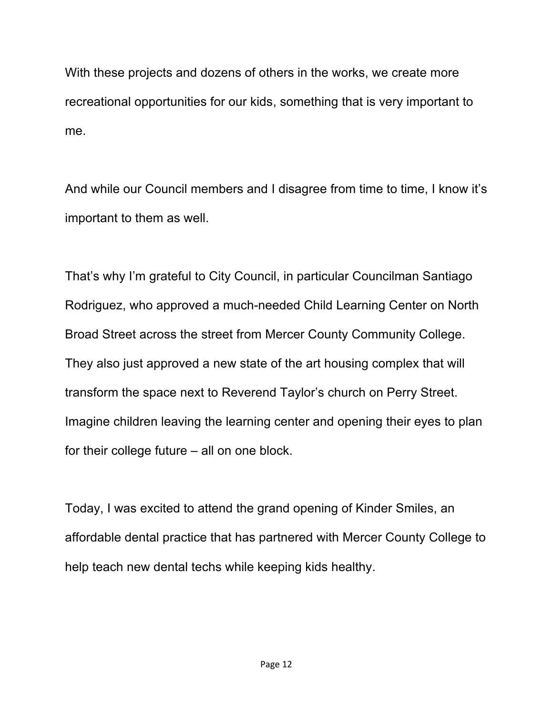With these projects and dozens of others in the works, we create more recreational opportunities for our kids, something that is very important to me.

And while our Council members and I disagree from time to time, I know it's important to them as well.

That's why I'm grateful to City Council, in particular Councilman Santiago Rodriguez, who approved a much-needed Child Learning Center on North Broad Street across the street from Mercer County Community College. They also just approved a new state of the art housing complex that will transform the space next to Reverend Taylor's church on Perry Street. Imagine children leaving the learning center and opening their eyes to plan for their college future – all on one block.

Today, I was excited to attend the grand opening of Kinder Smiles, an affordable dental practice that has partnered with Mercer County College to help teach new dental techs while keeping kids healthy.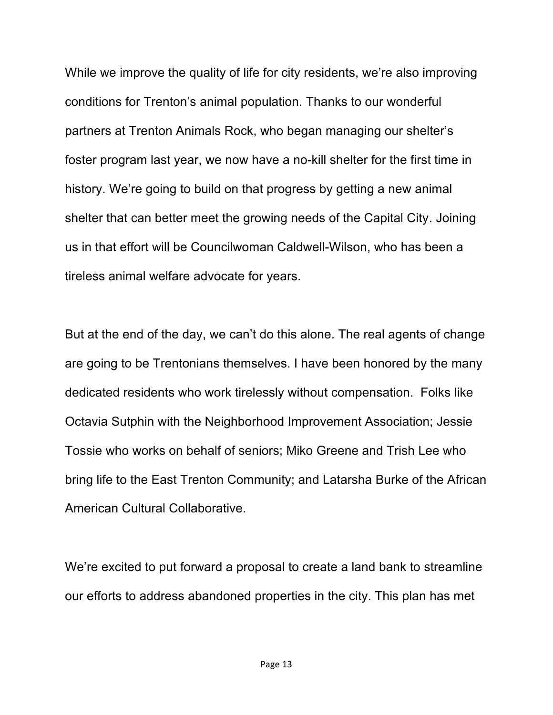While we improve the quality of life for city residents, we're also improving conditions for Trenton's animal population. Thanks to our wonderful partners at Trenton Animals Rock, who began managing our shelter's foster program last year, we now have a no-kill shelter for the first time in history. We're going to build on that progress by getting a new animal shelter that can better meet the growing needs of the Capital City. Joining us in that effort will be Councilwoman Caldwell-Wilson, who has been a tireless animal welfare advocate for years.

But at the end of the day, we can't do this alone. The real agents of change are going to be Trentonians themselves. I have been honored by the many dedicated residents who work tirelessly without compensation. Folks like Octavia Sutphin with the Neighborhood Improvement Association; Jessie Tossie who works on behalf of seniors; Miko Greene and Trish Lee who bring life to the East Trenton Community; and Latarsha Burke of the African American Cultural Collaborative.

We're excited to put forward a proposal to create a land bank to streamline our efforts to address abandoned properties in the city. This plan has met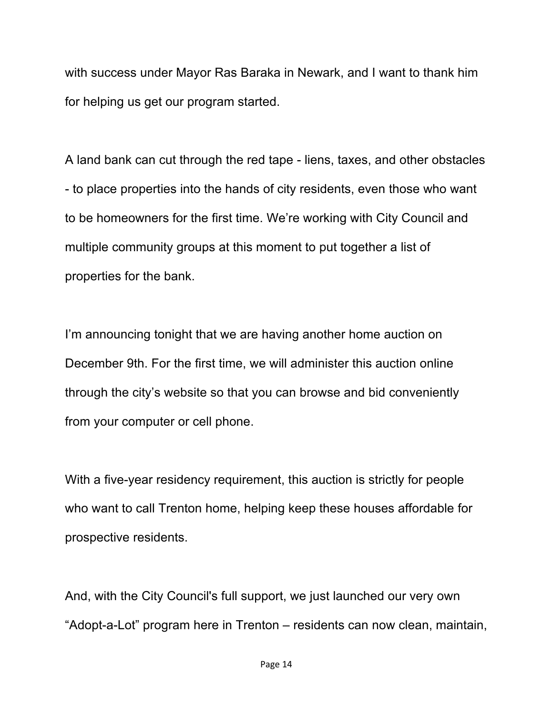with success under Mayor Ras Baraka in Newark, and I want to thank him for helping us get our program started.

A land bank can cut through the red tape - liens, taxes, and other obstacles - to place properties into the hands of city residents, even those who want to be homeowners for the first time. We're working with City Council and multiple community groups at this moment to put together a list of properties for the bank.

I'm announcing tonight that we are having another home auction on December 9th. For the first time, we will administer this auction online through the city's website so that you can browse and bid conveniently from your computer or cell phone.

With a five-year residency requirement, this auction is strictly for people who want to call Trenton home, helping keep these houses affordable for prospective residents.

And, with the City Council's full support, we just launched our very own "Adopt-a-Lot" program here in Trenton – residents can now clean, maintain,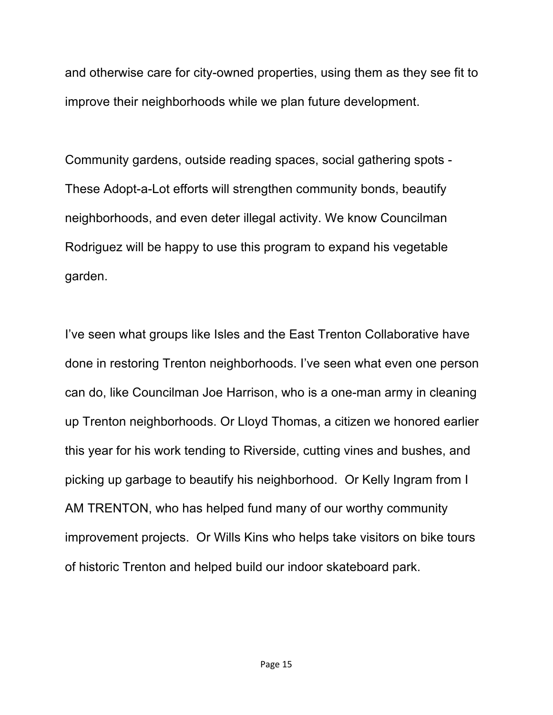and otherwise care for city-owned properties, using them as they see fit to improve their neighborhoods while we plan future development.

Community gardens, outside reading spaces, social gathering spots - These Adopt-a-Lot efforts will strengthen community bonds, beautify neighborhoods, and even deter illegal activity. We know Councilman Rodriguez will be happy to use this program to expand his vegetable garden.

I've seen what groups like Isles and the East Trenton Collaborative have done in restoring Trenton neighborhoods. I've seen what even one person can do, like Councilman Joe Harrison, who is a one-man army in cleaning up Trenton neighborhoods. Or Lloyd Thomas, a citizen we honored earlier this year for his work tending to Riverside, cutting vines and bushes, and picking up garbage to beautify his neighborhood. Or Kelly Ingram from I AM TRENTON, who has helped fund many of our worthy community improvement projects. Or Wills Kins who helps take visitors on bike tours of historic Trenton and helped build our indoor skateboard park.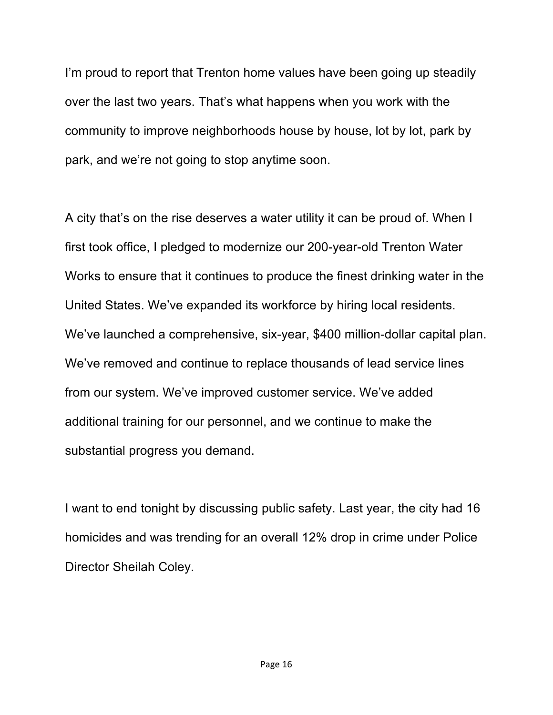I'm proud to report that Trenton home values have been going up steadily over the last two years. That's what happens when you work with the community to improve neighborhoods house by house, lot by lot, park by park, and we're not going to stop anytime soon.

A city that's on the rise deserves a water utility it can be proud of. When I first took office, I pledged to modernize our 200-year-old Trenton Water Works to ensure that it continues to produce the finest drinking water in the United States. We've expanded its workforce by hiring local residents. We've launched a comprehensive, six-year, \$400 million-dollar capital plan. We've removed and continue to replace thousands of lead service lines from our system. We've improved customer service. We've added additional training for our personnel, and we continue to make the substantial progress you demand.

I want to end tonight by discussing public safety. Last year, the city had 16 homicides and was trending for an overall 12% drop in crime under Police Director Sheilah Coley.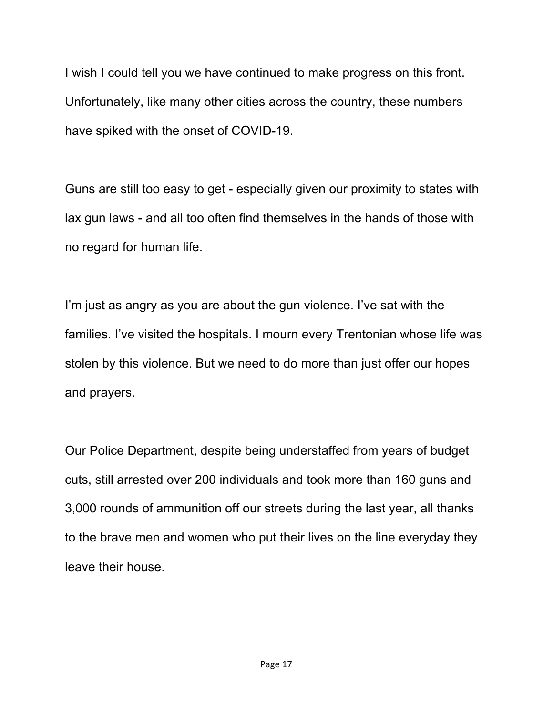I wish I could tell you we have continued to make progress on this front. Unfortunately, like many other cities across the country, these numbers have spiked with the onset of COVID-19.

Guns are still too easy to get - especially given our proximity to states with lax gun laws - and all too often find themselves in the hands of those with no regard for human life.

I'm just as angry as you are about the gun violence. I've sat with the families. I've visited the hospitals. I mourn every Trentonian whose life was stolen by this violence. But we need to do more than just offer our hopes and prayers.

Our Police Department, despite being understaffed from years of budget cuts, still arrested over 200 individuals and took more than 160 guns and 3,000 rounds of ammunition off our streets during the last year, all thanks to the brave men and women who put their lives on the line everyday they leave their house.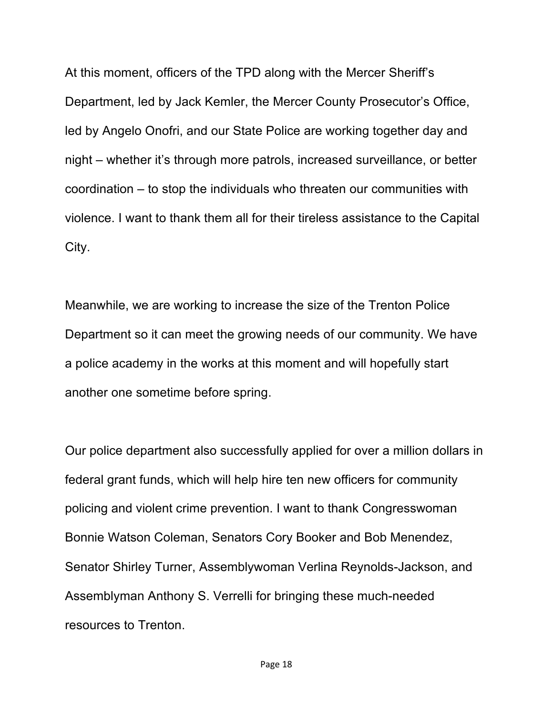At this moment, officers of the TPD along with the Mercer Sheriff's Department, led by Jack Kemler, the Mercer County Prosecutor's Office, led by Angelo Onofri, and our State Police are working together day and night – whether it's through more patrols, increased surveillance, or better coordination – to stop the individuals who threaten our communities with violence. I want to thank them all for their tireless assistance to the Capital City.

Meanwhile, we are working to increase the size of the Trenton Police Department so it can meet the growing needs of our community. We have a police academy in the works at this moment and will hopefully start another one sometime before spring.

Our police department also successfully applied for over a million dollars in federal grant funds, which will help hire ten new officers for community policing and violent crime prevention. I want to thank Congresswoman Bonnie Watson Coleman, Senators Cory Booker and Bob Menendez, Senator Shirley Turner, Assemblywoman Verlina Reynolds-Jackson, and Assemblyman Anthony S. Verrelli for bringing these much-needed resources to Trenton.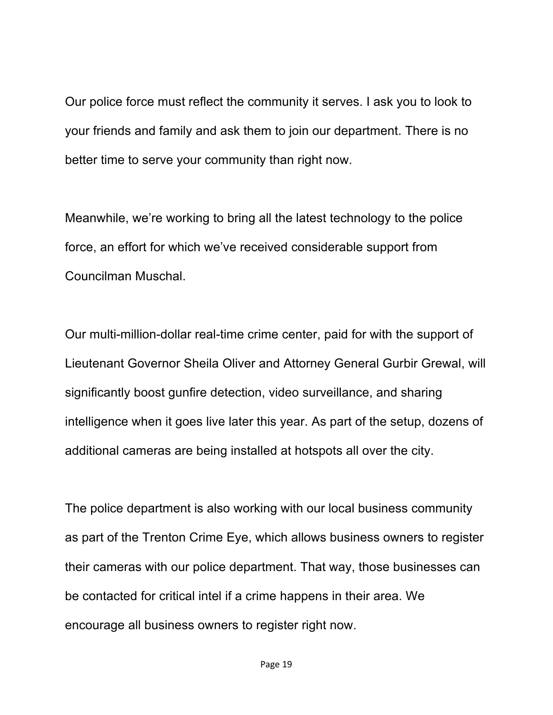Our police force must reflect the community it serves. I ask you to look to your friends and family and ask them to join our department. There is no better time to serve your community than right now.

Meanwhile, we're working to bring all the latest technology to the police force, an effort for which we've received considerable support from Councilman Muschal.

Our multi-million-dollar real-time crime center, paid for with the support of Lieutenant Governor Sheila Oliver and Attorney General Gurbir Grewal, will significantly boost gunfire detection, video surveillance, and sharing intelligence when it goes live later this year. As part of the setup, dozens of additional cameras are being installed at hotspots all over the city.

The police department is also working with our local business community as part of the Trenton Crime Eye, which allows business owners to register their cameras with our police department. That way, those businesses can be contacted for critical intel if a crime happens in their area. We encourage all business owners to register right now.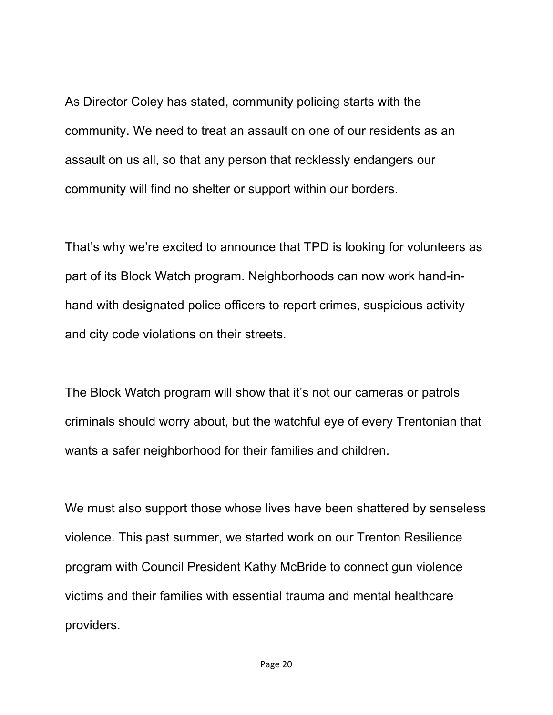As Director Coley has stated, community policing starts with the community. We need to treat an assault on one of our residents as an assault on us all, so that any person that recklessly endangers our community will find no shelter or support within our borders.

That's why we're excited to announce that TPD is looking for volunteers as part of its Block Watch program. Neighborhoods can now work hand-inhand with designated police officers to report crimes, suspicious activity and city code violations on their streets.

The Block Watch program will show that it's not our cameras or patrols criminals should worry about, but the watchful eye of every Trentonian that wants a safer neighborhood for their families and children.

We must also support those whose lives have been shattered by senseless violence. This past summer, we started work on our Trenton Resilience program with Council President Kathy McBride to connect gun violence victims and their families with essential trauma and mental healthcare providers.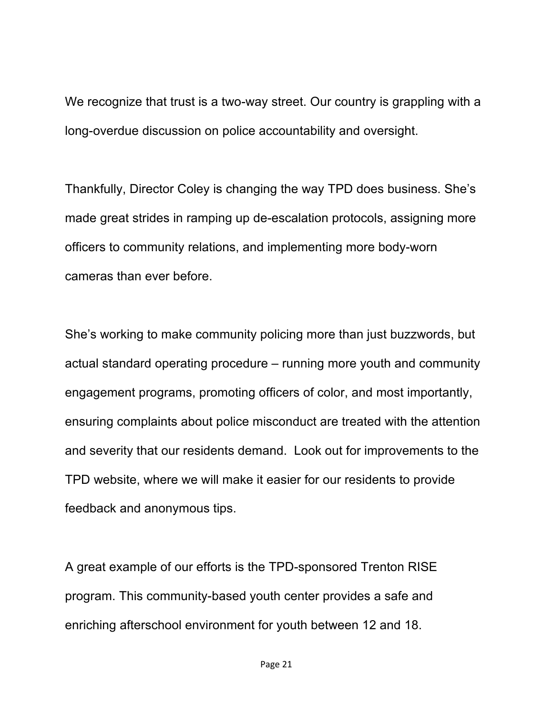We recognize that trust is a two-way street. Our country is grappling with a long-overdue discussion on police accountability and oversight.

Thankfully, Director Coley is changing the way TPD does business. She's made great strides in ramping up de-escalation protocols, assigning more officers to community relations, and implementing more body-worn cameras than ever before.

She's working to make community policing more than just buzzwords, but actual standard operating procedure – running more youth and community engagement programs, promoting officers of color, and most importantly, ensuring complaints about police misconduct are treated with the attention and severity that our residents demand. Look out for improvements to the TPD website, where we will make it easier for our residents to provide feedback and anonymous tips.

A great example of our efforts is the TPD-sponsored Trenton RISE program. This community-based youth center provides a safe and enriching afterschool environment for youth between 12 and 18.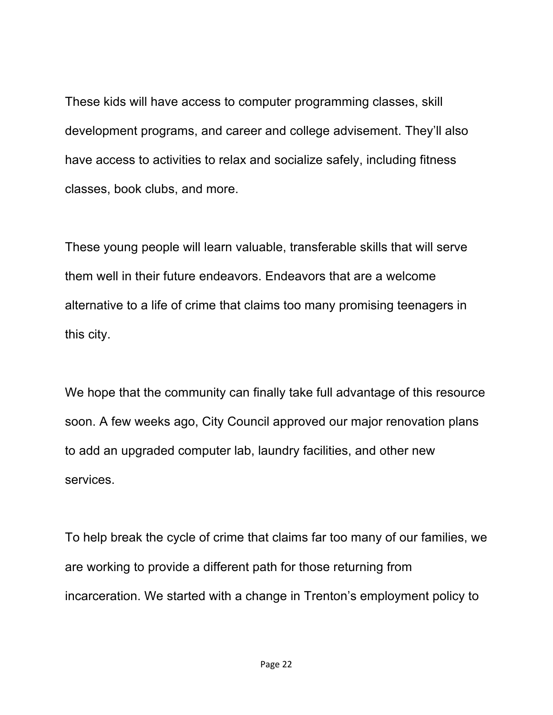These kids will have access to computer programming classes, skill development programs, and career and college advisement. They'll also have access to activities to relax and socialize safely, including fitness classes, book clubs, and more.

These young people will learn valuable, transferable skills that will serve them well in their future endeavors. Endeavors that are a welcome alternative to a life of crime that claims too many promising teenagers in this city.

We hope that the community can finally take full advantage of this resource soon. A few weeks ago, City Council approved our major renovation plans to add an upgraded computer lab, laundry facilities, and other new services.

To help break the cycle of crime that claims far too many of our families, we are working to provide a different path for those returning from incarceration. We started with a change in Trenton's employment policy to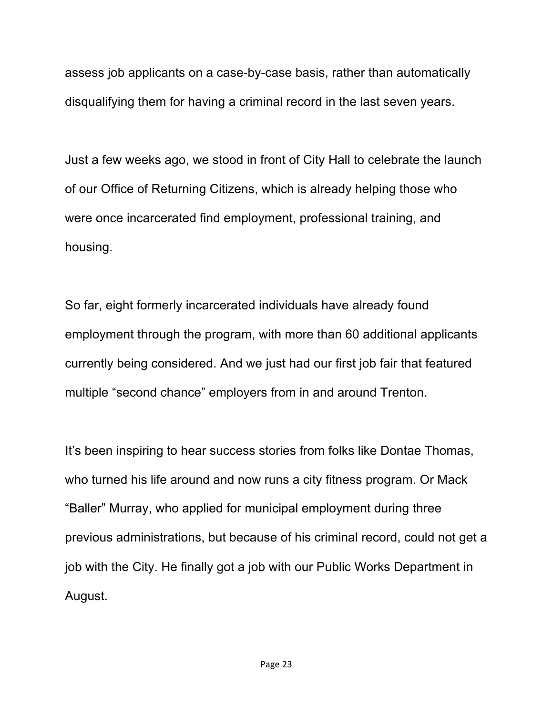assess job applicants on a case-by-case basis, rather than automatically disqualifying them for having a criminal record in the last seven years.

Just a few weeks ago, we stood in front of City Hall to celebrate the launch of our Office of Returning Citizens, which is already helping those who were once incarcerated find employment, professional training, and housing.

So far, eight formerly incarcerated individuals have already found employment through the program, with more than 60 additional applicants currently being considered. And we just had our first job fair that featured multiple "second chance" employers from in and around Trenton.

It's been inspiring to hear success stories from folks like Dontae Thomas, who turned his life around and now runs a city fitness program. Or Mack "Baller" Murray, who applied for municipal employment during three previous administrations, but because of his criminal record, could not get a job with the City. He finally got a job with our Public Works Department in August.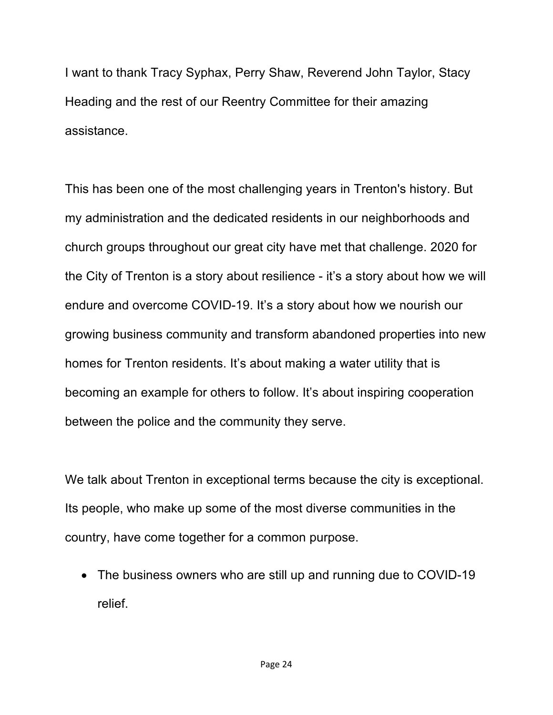I want to thank Tracy Syphax, Perry Shaw, Reverend John Taylor, Stacy Heading and the rest of our Reentry Committee for their amazing assistance.

This has been one of the most challenging years in Trenton's history. But my administration and the dedicated residents in our neighborhoods and church groups throughout our great city have met that challenge. 2020 for the City of Trenton is a story about resilience - it's a story about how we will endure and overcome COVID-19. It's a story about how we nourish our growing business community and transform abandoned properties into new homes for Trenton residents. It's about making a water utility that is becoming an example for others to follow. It's about inspiring cooperation between the police and the community they serve.

We talk about Trenton in exceptional terms because the city is exceptional. Its people, who make up some of the most diverse communities in the country, have come together for a common purpose.

• The business owners who are still up and running due to COVID-19 relief.